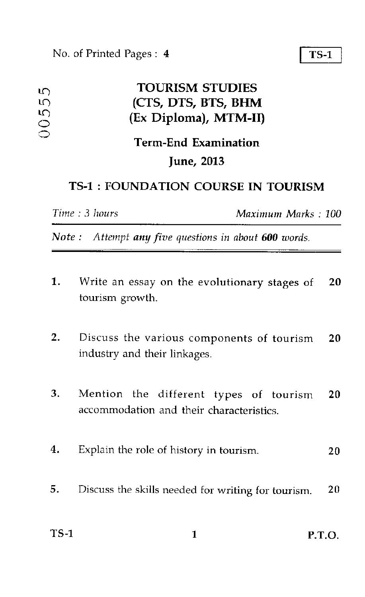#### No. of Printed Pages : 4 TS-1

 $\frac{0}{2}$ r<br>S

 $\frac{1}{2}$ 

### in TOURISM STUDIES (Ex Diploma), MTM-II) (CTS, DTS, BTS, BHM

## Term-End Examination June, 2013

### TS-1 : FOUNDATION COURSE IN TOURISM

*Time : 3 hours Maximum Marks : 100* 

*Note : Attempt any five questions in about 600 words.* 

- 1. Write an essay on the evolutionary stages of 20 tourism growth.
- 2. Discuss the various components of tourism 20 industry and their linkages.
- 3. Mention the different types of tourism 20 accommodation and their characteristics.
- 4. Explain the role of history in tourism. 20
- 5. Discuss the skills needed for writing for tourism. 20

| <b>TS-1</b> | <b>P.T.O.</b> |
|-------------|---------------|
|             |               |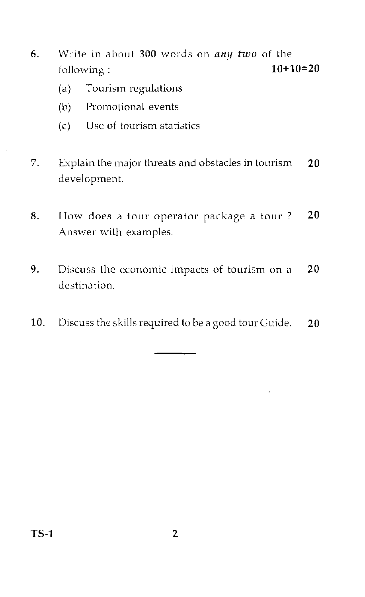- 6. Write in about 300 words on *any two* of the following :  $10+10=20$ 
	- (a) Tourism regulations
	- (b) Promotional events
	- (c) Use of tourism statistics
- 7. Explain the major threats and obstacles in tourism 20 development.
- 8. How does a tour operator package a tour ? 20 Answer with examples.
- 9. Discuss the economic impacts of tourism on a 20 destination.
- 10. Discuss the skills required to be a good tour Guide.  $20$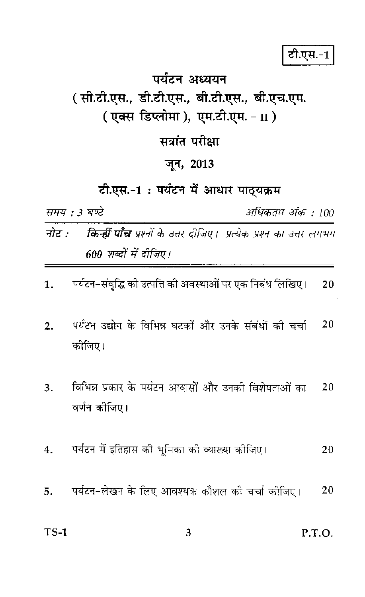टी.एस.-1

# पर्यटन अध्ययन (सी.टी.एस., डी.टी.एस., बी.टी.एस., बी.एच.एम. (एक्स डिप्लोमा), एम.टी.एम. - II) सत्रांत परीक्षा जून, 2013 टी.एस.-1: पर्यटन में आधार पाठ्यक्रम समय : 3 घण्टे अधिकतम अंक : 100 **किन्हीं पाँच** प्रश्नों के उत्तर दीजिए। प्रत्येक प्रश्न का उत्तर लगभग नोट : 600 शब्दों में दीजिए। पर्यटन-संवृद्धि को उत्पत्ति की अवस्थाओं पर एक निबंध लिखिए। 20 पर्यटन उद्योग के विभिन्न घटकों और उनके संबंधों की चर्चा 20 कोजिए। विभिन्न प्रकार के पर्यटन आवासों और उनकी विशेषताओं का 20 वर्णन कोजिए। पर्यटन में इतिहास की भूमिका को व्याख्या कोजिए। 20 पर्यटन-लेखन के लिए आवश्यक कौशल की चर्चा कोजिए। 20

1.

 $\overline{2}$ .

 $3.$ 

 $\bf{4}$ .

5.

 $TS-1$ 3 P.T.O.